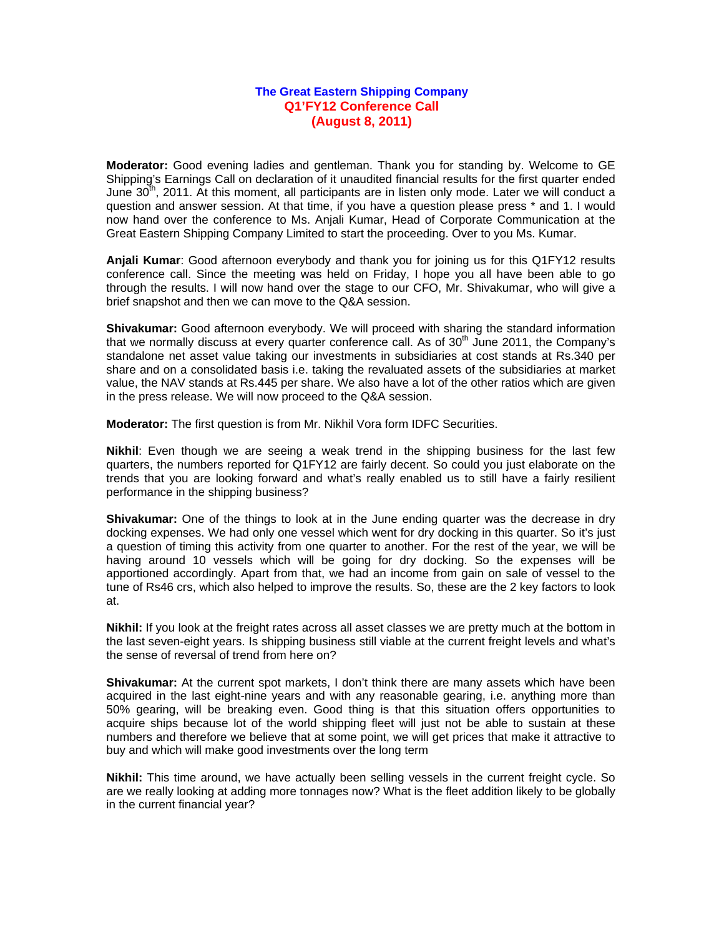## **The Great Eastern Shipping Company Q1'FY12 Conference Call (August 8, 2011)**

**Moderator:** Good evening ladies and gentleman. Thank you for standing by. Welcome to GE Shipping's Earnings Call on declaration of it unaudited financial results for the first quarter ended June  $30<sup>th</sup>$ , 2011. At this moment, all participants are in listen only mode. Later we will conduct a question and answer session. At that time, if you have a question please press \* and 1. I would now hand over the conference to Ms. Anjali Kumar, Head of Corporate Communication at the Great Eastern Shipping Company Limited to start the proceeding. Over to you Ms. Kumar.

**Anjali Kumar**: Good afternoon everybody and thank you for joining us for this Q1FY12 results conference call. Since the meeting was held on Friday, I hope you all have been able to go through the results. I will now hand over the stage to our CFO, Mr. Shivakumar, who will give a brief snapshot and then we can move to the Q&A session.

**Shivakumar:** Good afternoon everybody. We will proceed with sharing the standard information that we normally discuss at every quarter conference call. As of  $30<sup>th</sup>$  June 2011, the Company's standalone net asset value taking our investments in subsidiaries at cost stands at Rs.340 per share and on a consolidated basis i.e. taking the revaluated assets of the subsidiaries at market value, the NAV stands at Rs.445 per share. We also have a lot of the other ratios which are given in the press release. We will now proceed to the Q&A session.

**Moderator:** The first question is from Mr. Nikhil Vora form IDFC Securities.

**Nikhil**: Even though we are seeing a weak trend in the shipping business for the last few quarters, the numbers reported for Q1FY12 are fairly decent. So could you just elaborate on the trends that you are looking forward and what's really enabled us to still have a fairly resilient performance in the shipping business?

**Shivakumar:** One of the things to look at in the June ending quarter was the decrease in dry docking expenses. We had only one vessel which went for dry docking in this quarter. So it's just a question of timing this activity from one quarter to another. For the rest of the year, we will be having around 10 vessels which will be going for dry docking. So the expenses will be apportioned accordingly. Apart from that, we had an income from gain on sale of vessel to the tune of Rs46 crs, which also helped to improve the results. So, these are the 2 key factors to look at.

**Nikhil:** If you look at the freight rates across all asset classes we are pretty much at the bottom in the last seven-eight years. Is shipping business still viable at the current freight levels and what's the sense of reversal of trend from here on?

**Shivakumar:** At the current spot markets, I don't think there are many assets which have been acquired in the last eight-nine years and with any reasonable gearing, i.e. anything more than 50% gearing, will be breaking even. Good thing is that this situation offers opportunities to acquire ships because lot of the world shipping fleet will just not be able to sustain at these numbers and therefore we believe that at some point, we will get prices that make it attractive to buy and which will make good investments over the long term

**Nikhil:** This time around, we have actually been selling vessels in the current freight cycle. So are we really looking at adding more tonnages now? What is the fleet addition likely to be globally in the current financial year?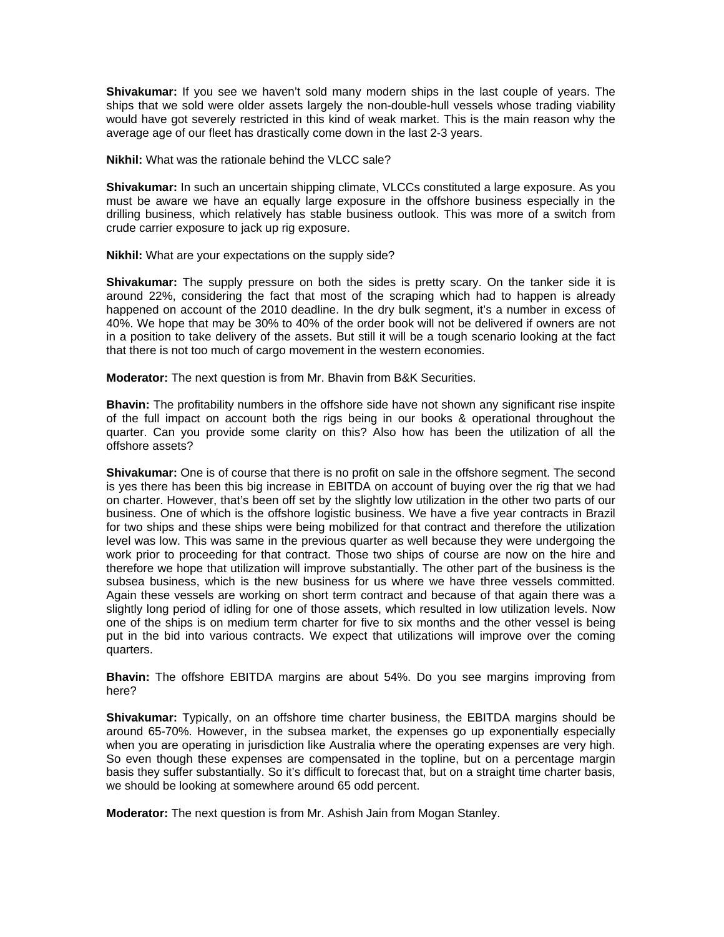**Shivakumar:** If you see we haven't sold many modern ships in the last couple of years. The ships that we sold were older assets largely the non-double-hull vessels whose trading viability would have got severely restricted in this kind of weak market. This is the main reason why the average age of our fleet has drastically come down in the last 2-3 years.

**Nikhil:** What was the rationale behind the VLCC sale?

**Shivakumar:** In such an uncertain shipping climate, VLCCs constituted a large exposure. As you must be aware we have an equally large exposure in the offshore business especially in the drilling business, which relatively has stable business outlook. This was more of a switch from crude carrier exposure to jack up rig exposure.

**Nikhil:** What are your expectations on the supply side?

**Shivakumar:** The supply pressure on both the sides is pretty scary. On the tanker side it is around 22%, considering the fact that most of the scraping which had to happen is already happened on account of the 2010 deadline. In the dry bulk segment, it's a number in excess of 40%. We hope that may be 30% to 40% of the order book will not be delivered if owners are not in a position to take delivery of the assets. But still it will be a tough scenario looking at the fact that there is not too much of cargo movement in the western economies.

**Moderator:** The next question is from Mr. Bhavin from B&K Securities.

**Bhavin:** The profitability numbers in the offshore side have not shown any significant rise inspite of the full impact on account both the rigs being in our books & operational throughout the quarter. Can you provide some clarity on this? Also how has been the utilization of all the offshore assets?

**Shivakumar:** One is of course that there is no profit on sale in the offshore segment. The second is yes there has been this big increase in EBITDA on account of buying over the rig that we had on charter. However, that's been off set by the slightly low utilization in the other two parts of our business. One of which is the offshore logistic business. We have a five year contracts in Brazil for two ships and these ships were being mobilized for that contract and therefore the utilization level was low. This was same in the previous quarter as well because they were undergoing the work prior to proceeding for that contract. Those two ships of course are now on the hire and therefore we hope that utilization will improve substantially. The other part of the business is the subsea business, which is the new business for us where we have three vessels committed. Again these vessels are working on short term contract and because of that again there was a slightly long period of idling for one of those assets, which resulted in low utilization levels. Now one of the ships is on medium term charter for five to six months and the other vessel is being put in the bid into various contracts. We expect that utilizations will improve over the coming quarters.

**Bhavin:** The offshore EBITDA margins are about 54%. Do you see margins improving from here?

**Shivakumar:** Typically, on an offshore time charter business, the EBITDA margins should be around 65-70%. However, in the subsea market, the expenses go up exponentially especially when you are operating in jurisdiction like Australia where the operating expenses are very high. So even though these expenses are compensated in the topline, but on a percentage margin basis they suffer substantially. So it's difficult to forecast that, but on a straight time charter basis, we should be looking at somewhere around 65 odd percent.

**Moderator:** The next question is from Mr. Ashish Jain from Mogan Stanley.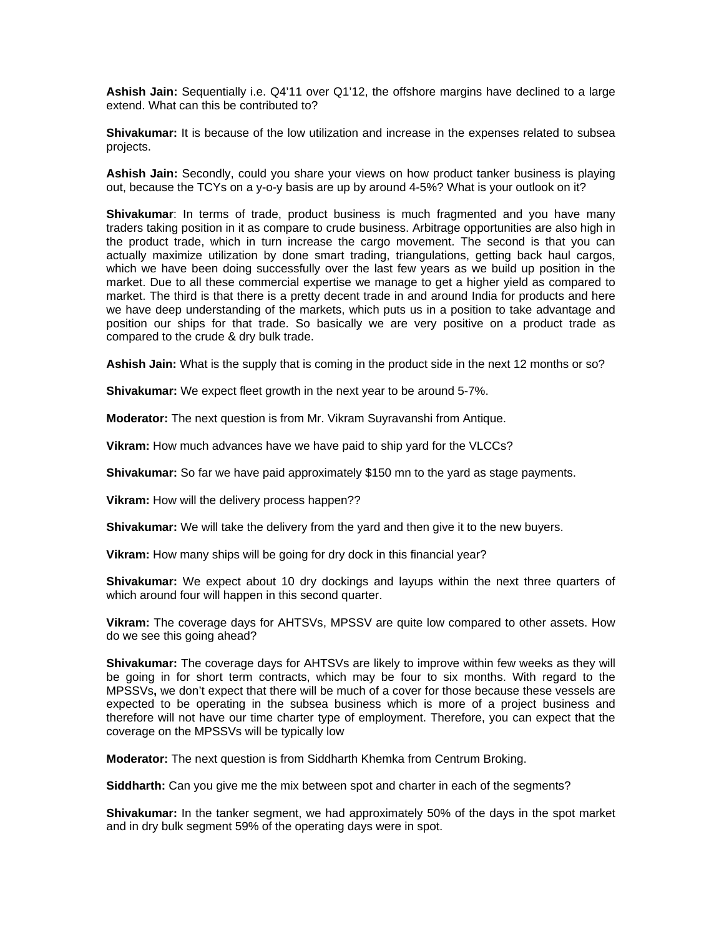**Ashish Jain:** Sequentially i.e. Q4'11 over Q1'12, the offshore margins have declined to a large extend. What can this be contributed to?

**Shivakumar:** It is because of the low utilization and increase in the expenses related to subsea projects.

**Ashish Jain:** Secondly, could you share your views on how product tanker business is playing out, because the TCYs on a y-o-y basis are up by around 4-5%? What is your outlook on it?

**Shivakumar**: In terms of trade, product business is much fragmented and you have many traders taking position in it as compare to crude business. Arbitrage opportunities are also high in the product trade, which in turn increase the cargo movement. The second is that you can actually maximize utilization by done smart trading, triangulations, getting back haul cargos, which we have been doing successfully over the last few years as we build up position in the market. Due to all these commercial expertise we manage to get a higher yield as compared to market. The third is that there is a pretty decent trade in and around India for products and here we have deep understanding of the markets, which puts us in a position to take advantage and position our ships for that trade. So basically we are very positive on a product trade as compared to the crude & dry bulk trade.

**Ashish Jain:** What is the supply that is coming in the product side in the next 12 months or so?

**Shivakumar:** We expect fleet growth in the next year to be around 5-7%.

**Moderator:** The next question is from Mr. Vikram Suyravanshi from Antique.

**Vikram:** How much advances have we have paid to ship yard for the VLCCs?

**Shivakumar:** So far we have paid approximately \$150 mn to the yard as stage payments.

**Vikram:** How will the delivery process happen??

**Shivakumar:** We will take the delivery from the yard and then give it to the new buyers.

**Vikram:** How many ships will be going for dry dock in this financial year?

**Shivakumar:** We expect about 10 dry dockings and layups within the next three quarters of which around four will happen in this second quarter.

**Vikram:** The coverage days for AHTSVs, MPSSV are quite low compared to other assets. How do we see this going ahead?

**Shivakumar:** The coverage days for AHTSVs are likely to improve within few weeks as they will be going in for short term contracts, which may be four to six months. With regard to the MPSSVs**,** we don't expect that there will be much of a cover for those because these vessels are expected to be operating in the subsea business which is more of a project business and therefore will not have our time charter type of employment. Therefore, you can expect that the coverage on the MPSSVs will be typically low

**Moderator:** The next question is from Siddharth Khemka from Centrum Broking.

**Siddharth:** Can you give me the mix between spot and charter in each of the segments?

**Shivakumar:** In the tanker segment, we had approximately 50% of the days in the spot market and in dry bulk segment 59% of the operating days were in spot.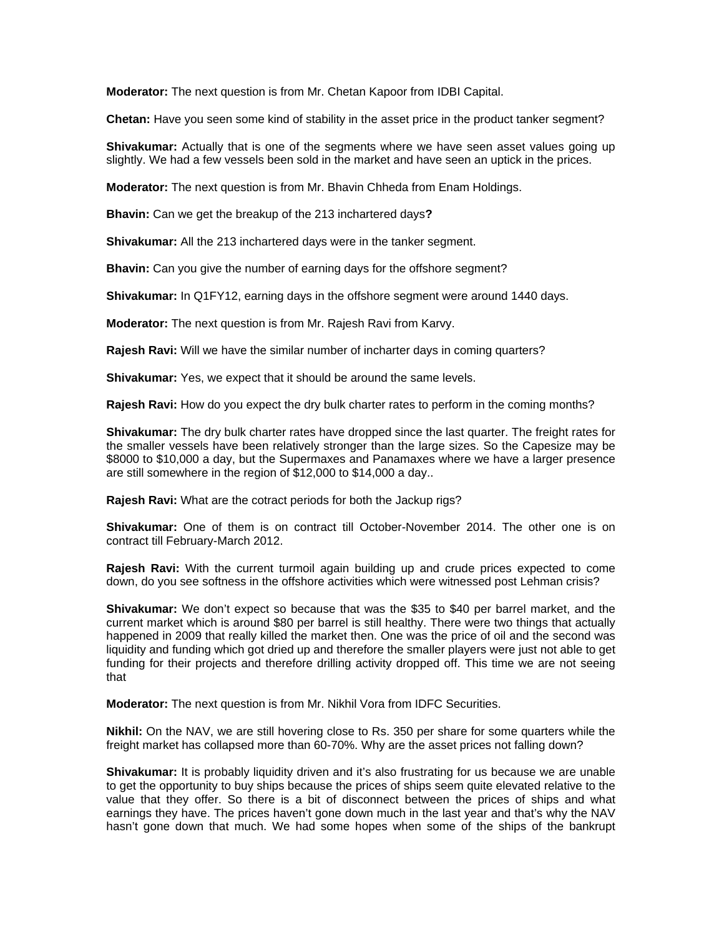**Moderator:** The next question is from Mr. Chetan Kapoor from IDBI Capital.

**Chetan:** Have you seen some kind of stability in the asset price in the product tanker segment?

**Shivakumar:** Actually that is one of the segments where we have seen asset values going up slightly. We had a few vessels been sold in the market and have seen an uptick in the prices.

**Moderator:** The next question is from Mr. Bhavin Chheda from Enam Holdings.

**Bhavin:** Can we get the breakup of the 213 inchartered days**?** 

**Shivakumar:** All the 213 inchartered days were in the tanker segment.

**Bhavin:** Can you give the number of earning days for the offshore segment?

**Shivakumar:** In Q1FY12, earning days in the offshore segment were around 1440 days.

**Moderator:** The next question is from Mr. Rajesh Ravi from Karvy.

**Rajesh Ravi:** Will we have the similar number of incharter days in coming quarters?

**Shivakumar:** Yes, we expect that it should be around the same levels.

**Rajesh Ravi:** How do you expect the dry bulk charter rates to perform in the coming months?

**Shivakumar:** The dry bulk charter rates have dropped since the last quarter. The freight rates for the smaller vessels have been relatively stronger than the large sizes. So the Capesize may be \$8000 to \$10,000 a day, but the Supermaxes and Panamaxes where we have a larger presence are still somewhere in the region of \$12,000 to \$14,000 a day..

**Rajesh Ravi:** What are the cotract periods for both the Jackup rigs?

**Shivakumar:** One of them is on contract till October-November 2014. The other one is on contract till February-March 2012.

**Rajesh Ravi:** With the current turmoil again building up and crude prices expected to come down, do you see softness in the offshore activities which were witnessed post Lehman crisis?

**Shivakumar:** We don't expect so because that was the \$35 to \$40 per barrel market, and the current market which is around \$80 per barrel is still healthy. There were two things that actually happened in 2009 that really killed the market then. One was the price of oil and the second was liquidity and funding which got dried up and therefore the smaller players were just not able to get funding for their projects and therefore drilling activity dropped off. This time we are not seeing that

**Moderator:** The next question is from Mr. Nikhil Vora from IDFC Securities.

**Nikhil:** On the NAV, we are still hovering close to Rs. 350 per share for some quarters while the freight market has collapsed more than 60-70%. Why are the asset prices not falling down?

**Shivakumar:** It is probably liquidity driven and it's also frustrating for us because we are unable to get the opportunity to buy ships because the prices of ships seem quite elevated relative to the value that they offer. So there is a bit of disconnect between the prices of ships and what earnings they have. The prices haven't gone down much in the last year and that's why the NAV hasn't gone down that much. We had some hopes when some of the ships of the bankrupt